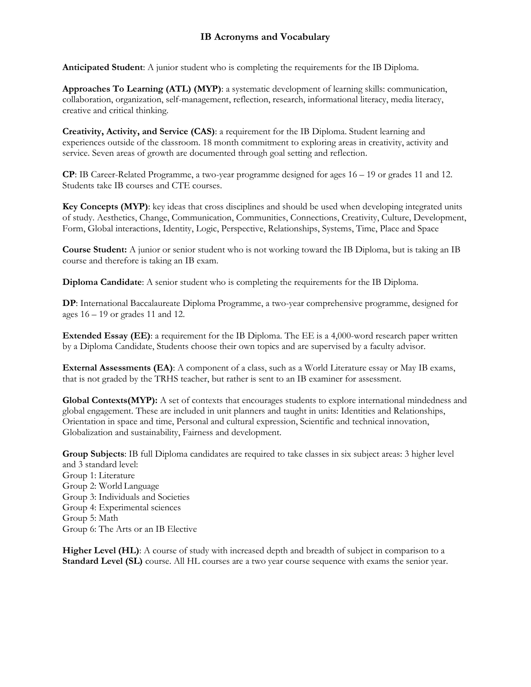## **IB Acronyms and Vocabulary**

**Anticipated Student**: A junior student who is completing the requirements for the IB Diploma.

**Approaches To Learning (ATL) (MYP)**: a systematic development of learning skills: communication, collaboration, organization, self-management, reflection, research, informational literacy, media literacy, creative and critical thinking.

**Creativity, Activity, and Service (CAS)**: a requirement for the IB Diploma. Student learning and experiences outside of the classroom. 18 month commitment to exploring areas in creativity, activity and service. Seven areas of growth are documented through goal setting and reflection.

**CP**: IB Career-Related Programme, a two-year programme designed for ages 16 – 19 or grades 11 and 12. Students take IB courses and CTE courses.

**Key Concepts (MYP)**: key ideas that cross disciplines and should be used when developing integrated units of study. Aesthetics, Change, Communication, Communities, Connections, Creativity, Culture, Development, Form, Global interactions, Identity, Logic, Perspective, Relationships, Systems, Time, Place and Space

**Course Student:** A junior or senior student who is not working toward the IB Diploma, but is taking an IB course and therefore is taking an IB exam.

**Diploma Candidate**: A senior student who is completing the requirements for the IB Diploma.

**DP**: International Baccalaureate Diploma Programme, a two-year comprehensive programme, designed for ages 16 – 19 or grades 11 and 12.

**Extended Essay (EE)**: a requirement for the IB Diploma. The EE is a 4,000-word research paper written by a Diploma Candidate, Students choose their own topics and are supervised by a faculty advisor.

**External Assessments (EA)**: A component of a class, such as a World Literature essay or May IB exams, that is not graded by the TRHS teacher, but rather is sent to an IB examiner for assessment.

**Global Contexts(MYP):** A set of contexts that encourages students to explore international mindedness and global engagement. These are included in unit planners and taught in units: Identities and Relationships, Orientation in space and time, Personal and cultural expression, Scientific and technical innovation, Globalization and sustainability, Fairness and development.

**Group Subjects**: IB full Diploma candidates are required to take classes in six subject areas: 3 higher level and 3 standard level: Group 1: Literature Group 2: World Language Group 3: Individuals and Societies Group 4: Experimental sciences Group 5: Math Group 6: The Arts or an IB Elective

**Higher Level (HL):** A course of study with increased depth and breadth of subject in comparison to a **Standard Level (SL)** course. All HL courses are a two year course sequence with exams the senior year.